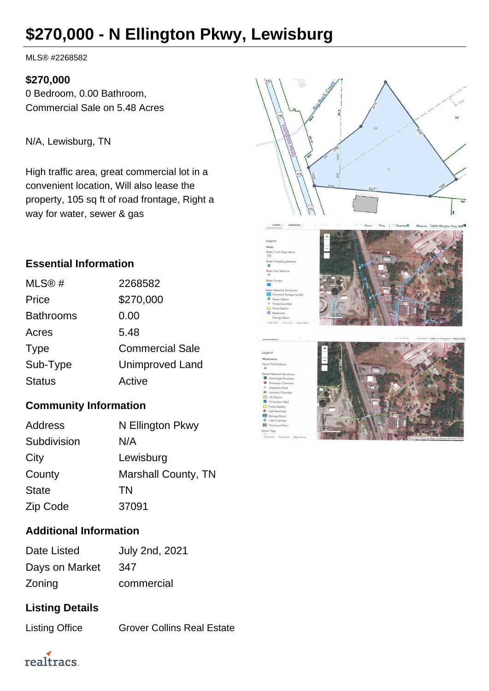# **\$270,000 - N Ellington Pkwy, Lewisburg**

MLS® #2268582

#### **\$270,000**

0 Bedroom, 0.00 Bathroom, Commercial Sale on 5.48 Acres

N/A, Lewisburg, TN

High traffic area, great commercial lot in a convenient location, Will also lease the property, 105 sq ft of road frontage, Right a way for water, sewer & gas

### **Essential Information**

| MLS@#            | 2268582                |
|------------------|------------------------|
| Price            | \$270,000              |
| <b>Bathrooms</b> | 0.00                   |
| Acres            | 5.48                   |
| <b>Type</b>      | <b>Commercial Sale</b> |
| Sub-Type         | <b>Unimproved Land</b> |
| <b>Status</b>    | Active                 |
|                  |                        |

### **Community Information**

| <b>Address</b> | N Ellington Pkwy           |
|----------------|----------------------------|
| Subdivision    | N/A                        |
| City           | Lewisburg                  |
| County         | <b>Marshall County, TN</b> |
| <b>State</b>   | TN                         |
| Zip Code       | 37091                      |

#### **Additional Information**

| Date Listed    | <b>July 2nd, 2021</b> |
|----------------|-----------------------|
| Days on Market | 347                   |
| Zoning         | commercial            |

## **Listing Details**

Listing Office **Grover Collins Real Estate** 



realtracs.